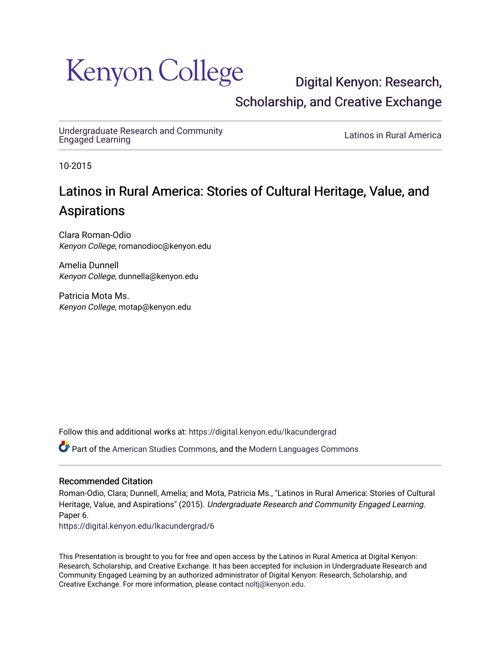### Kenyon College

[Digital Kenyon: Research,](https://digital.kenyon.edu/)  [Scholarship, and Creative Exchange](https://digital.kenyon.edu/) 

[Undergraduate Research and Community](https://digital.kenyon.edu/lkacundergrad)

Latinos in Rural America

10-2015

#### Latinos in Rural America: Stories of Cultural Heritage, Value, and Aspirations

Clara Roman-Odio Kenyon College, romanodioc@kenyon.edu

Amelia Dunnell Kenyon College, dunnella@kenyon.edu

Patricia Mota Ms. Kenyon College, motap@kenyon.edu

Follow this and additional works at: [https://digital.kenyon.edu/lkacundergrad](https://digital.kenyon.edu/lkacundergrad?utm_source=digital.kenyon.edu%2Flkacundergrad%2F6&utm_medium=PDF&utm_campaign=PDFCoverPages)

Part of the [American Studies Commons](http://network.bepress.com/hgg/discipline/439?utm_source=digital.kenyon.edu%2Flkacundergrad%2F6&utm_medium=PDF&utm_campaign=PDFCoverPages), and the [Modern Languages Commons](http://network.bepress.com/hgg/discipline/1130?utm_source=digital.kenyon.edu%2Flkacundergrad%2F6&utm_medium=PDF&utm_campaign=PDFCoverPages)

#### Recommended Citation

Roman-Odio, Clara; Dunnell, Amelia; and Mota, Patricia Ms., "Latinos in Rural America: Stories of Cultural Heritage, Value, and Aspirations" (2015). Undergraduate Research and Community Engaged Learning. Paper 6.

[https://digital.kenyon.edu/lkacundergrad/6](https://digital.kenyon.edu/lkacundergrad/6?utm_source=digital.kenyon.edu%2Flkacundergrad%2F6&utm_medium=PDF&utm_campaign=PDFCoverPages)

This Presentation is brought to you for free and open access by the Latinos in Rural America at Digital Kenyon: Research, Scholarship, and Creative Exchange. It has been accepted for inclusion in Undergraduate Research and Community Engaged Learning by an authorized administrator of Digital Kenyon: Research, Scholarship, and Creative Exchange. For more information, please contact [noltj@kenyon.edu](mailto:noltj@kenyon.edu).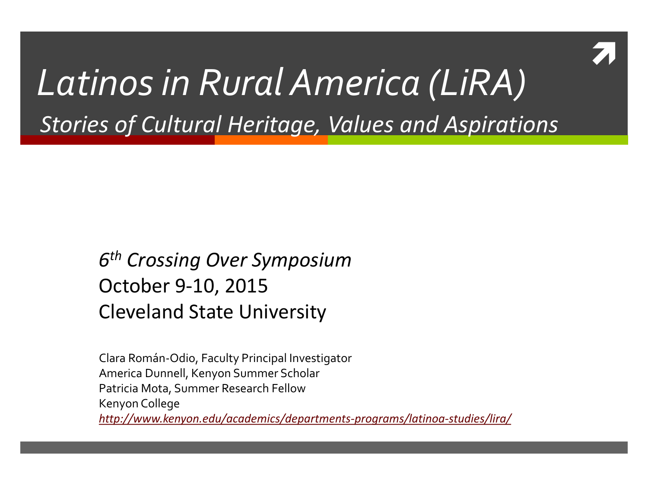

#### *Latinos in Rural America (LiRA) Stories of Cultural Heritage, Values and Aspirations*

#### *6th Crossing Over Symposium* October 9-10, 2015 Cleveland State University

Clara Román-Odio, Faculty Principal Investigator America Dunnell, Kenyon Summer Scholar Patricia Mota, Summer Research Fellow Kenyon College *<http://www.kenyon.edu/academics/departments-programs/latinoa-studies/lira/>*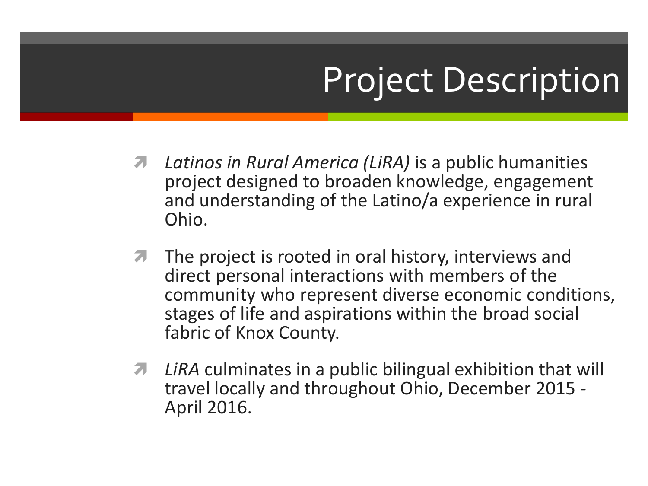## Project Description

- *Latinos in Rural America (LiRA)* is a public humanities project designed to broaden knowledge, engagement and understanding of the Latino/a experience in rural Ohio.
- $\pi$  The project is rooted in oral history, interviews and direct personal interactions with members of the community who represent diverse economic conditions, stages of life and aspirations within the broad social fabric of Knox County.
- *LiRA* culminates in a public bilingual exhibition that will travel locally and throughout Ohio, December 2015 - April 2016.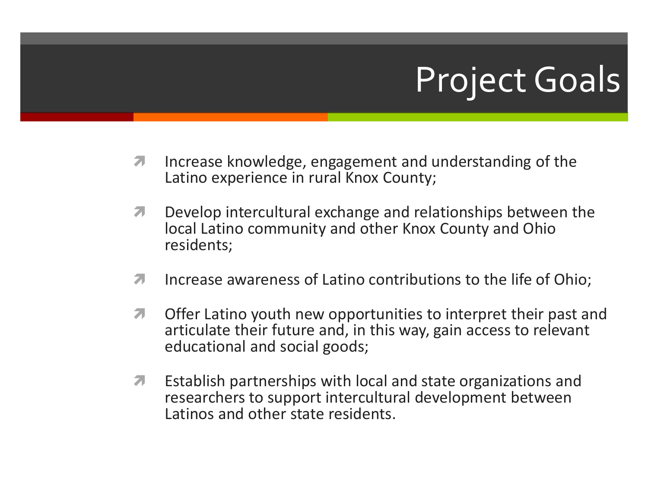## Project Goals

- **Increase knowledge, engagement and understanding of the** Latino experience in rural Knox County;
- **T** Develop intercultural exchange and relationships between the local Latino community and other Knox County and Ohio residents;
- **Increase awareness of Latino contributions to the life of Ohio;**
- **T** Offer Latino youth new opportunities to interpret their past and articulate their future and, in this way, gain access to relevant educational and social goods;
- **Establish partnerships with local and state organizations and** researchers to support intercultural development between Latinos and other state residents.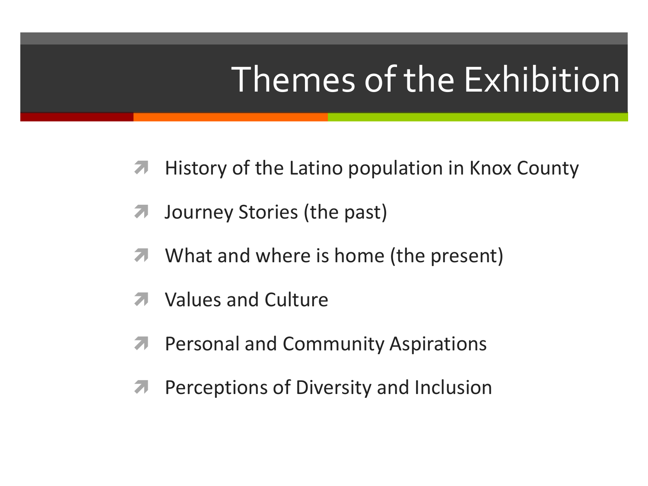### Themes of the Exhibition

- **A** History of the Latino population in Knox County
- **7** Journey Stories (the past)
- **T** What and where is home (the present)
- Values and Culture
- **A** Personal and Community Aspirations
- **A** Perceptions of Diversity and Inclusion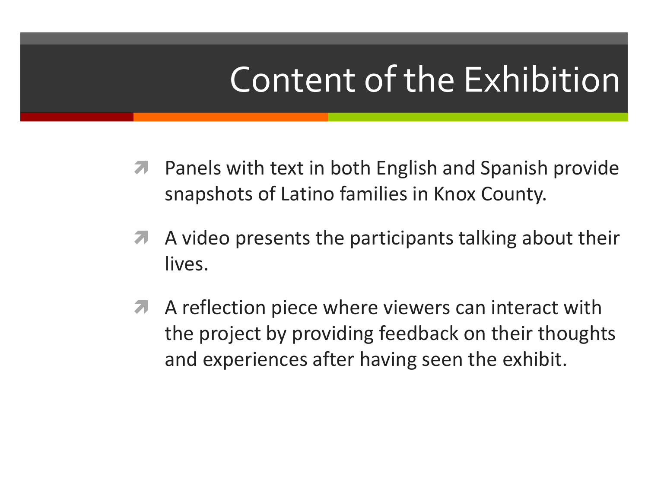### Content of the Exhibition

- **A** Panels with text in both English and Spanish provide snapshots of Latino families in Knox County.
- A A video presents the participants talking about their lives.
- A A reflection piece where viewers can interact with the project by providing feedback on their thoughts and experiences after having seen the exhibit.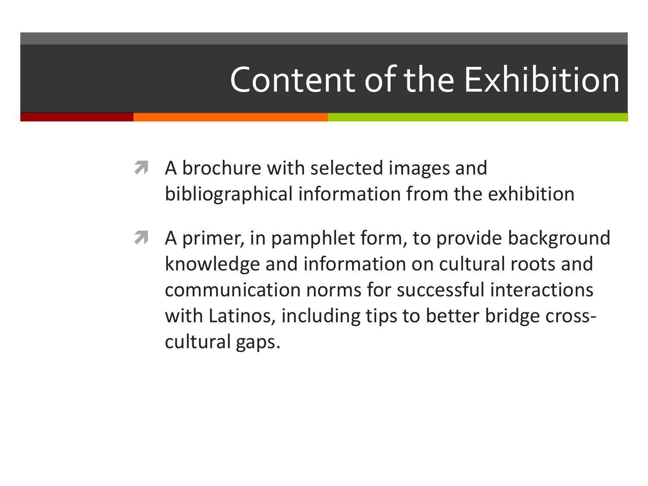### Content of the Exhibition

- **A** A brochure with selected images and bibliographical information from the exhibition
- A primer, in pamphlet form, to provide background knowledge and information on cultural roots and communication norms for successful interactions with Latinos, including tips to better bridge crosscultural gaps.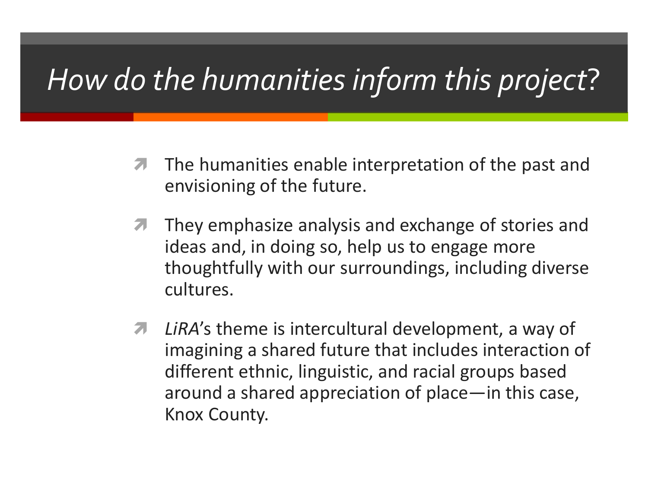#### *How do the humanities inform this project*?

- **The humanities enable interpretation of the past and** envisioning of the future.
- **They emphasize analysis and exchange of stories and** ideas and, in doing so, help us to engage more thoughtfully with our surroundings, including diverse cultures.
- *A* LiRA's theme is intercultural development, a way of imagining a shared future that includes interaction of different ethnic, linguistic, and racial groups based around a shared appreciation of place—in this case, Knox County.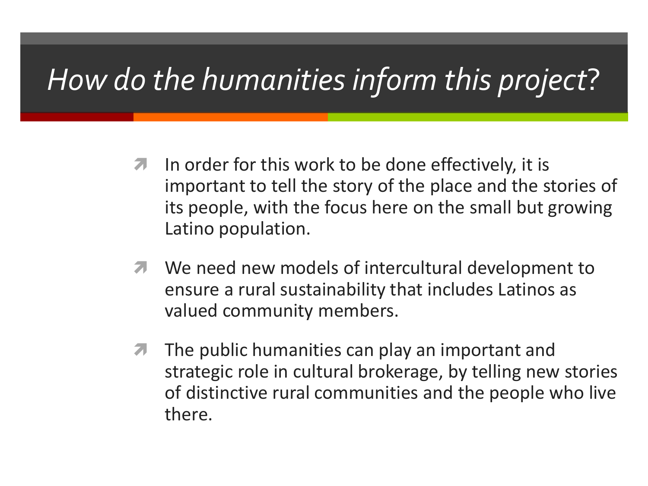#### *How do the humanities inform this project*?

- $\blacksquare$  In order for this work to be done effectively, it is important to tell the story of the place and the stories of its people, with the focus here on the small but growing Latino population.
- **7** We need new models of intercultural development to ensure a rural sustainability that includes Latinos as valued community members.
- $\sqrt{7}$  The public humanities can play an important and strategic role in cultural brokerage, by telling new stories of distinctive rural communities and the people who live there.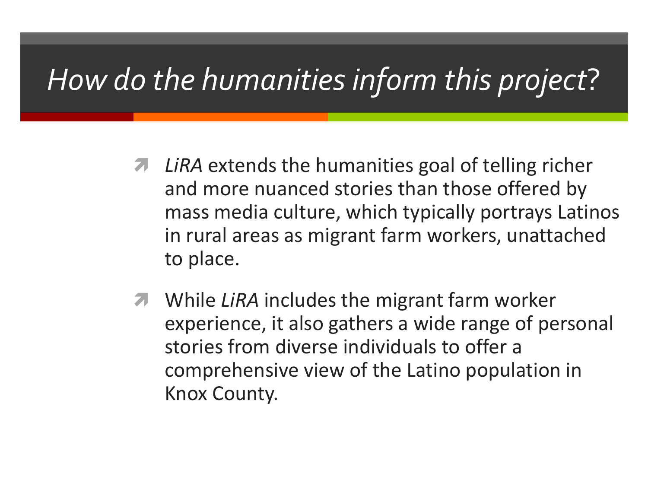#### *How do the humanities inform this project*?

- *A* LiRA extends the humanities goal of telling richer and more nuanced stories than those offered by mass media culture, which typically portrays Latinos in rural areas as migrant farm workers, unattached to place.
- **T** While *LiRA* includes the migrant farm worker experience, it also gathers a wide range of personal stories from diverse individuals to offer a comprehensive view of the Latino population in Knox County.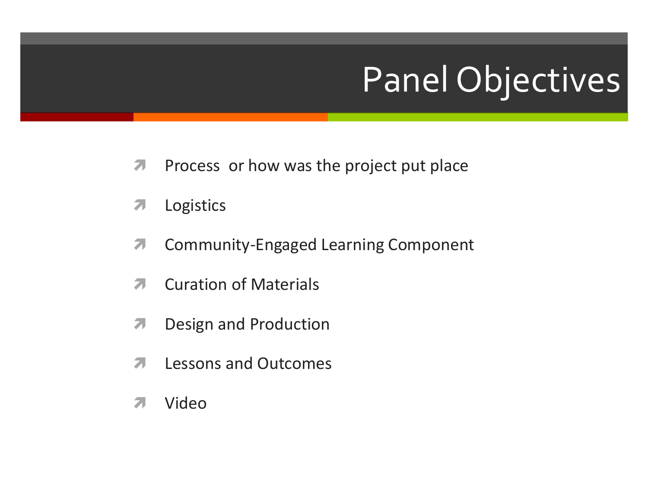# Panel Objectives

- **Process or how was the project put place**
- **7** Logistics
- **A** Community-Engaged Learning Component
- **7** Curation of Materials
- **7** Design and Production
- $\pi$  Lessons and Outcomes
- **7** Video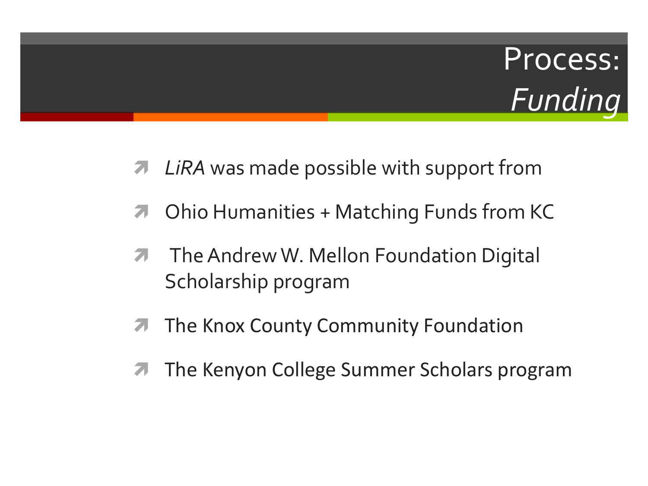#### Process: *Funding*

- *A* LiRA was made possible with support from
- **7** Ohio Humanities + Matching Funds from KC
- **The Andrew W. Mellon Foundation Digital** Scholarship program
- **The Knox County Community Foundation**
- **The Kenyon College Summer Scholars program**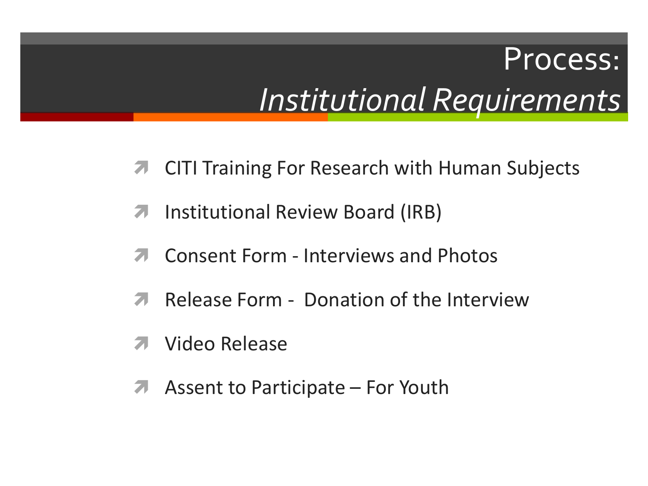#### Process: *Institutional Requirements*

- **7** CITI Training For Research with Human Subjects
- **7** Institutional Review Board (IRB)
- Consent Form Interviews and Photos
- **A** Release Form Donation of the Interview
- Video Release
- A Assent to Participate For Youth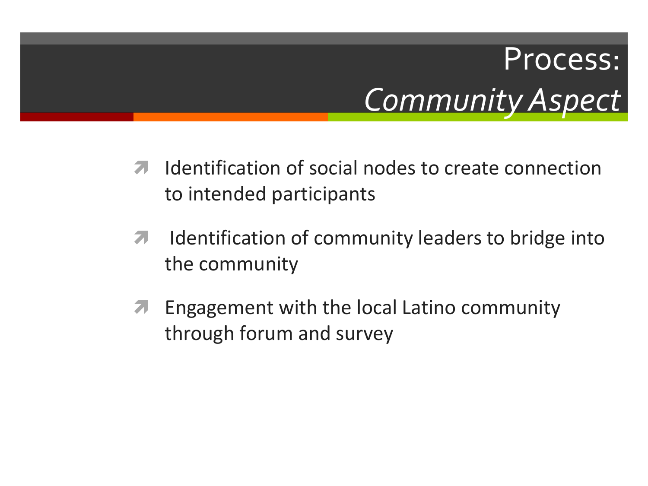### Process: *Community Aspect*

- **If all identification of social nodes to create connection** to intended participants
- $\lambda$  Identification of community leaders to bridge into the community
- **A** Engagement with the local Latino community through forum and survey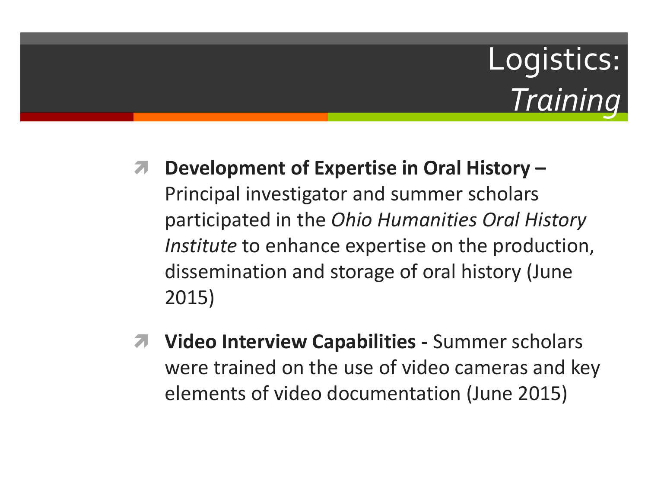#### Logistics: *Training*

- **Development of Expertise in Oral History –** Principal investigator and summer scholars participated in the *Ohio Humanities Oral History Institute* to enhance expertise on the production, dissemination and storage of oral history (June 2015)
- **Video Interview Capabilities -** Summer scholars were trained on the use of video cameras and key elements of video documentation (June 2015)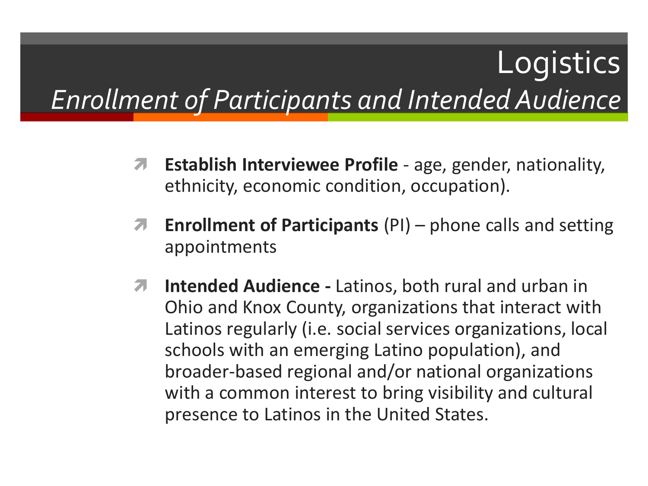#### **Logistics** *Enrollment of Participants and Intended Audience*

- **A** Establish Interviewee Profile age, gender, nationality, ethnicity, economic condition, occupation).
- **Enrollment of Participants** (PI) phone calls and setting appointments
- **Intended Audience -** Latinos, both rural and urban in Ohio and Knox County, organizations that interact with Latinos regularly (i.e. social services organizations, local schools with an emerging Latino population), and broader-based regional and/or national organizations with a common interest to bring visibility and cultural presence to Latinos in the United States.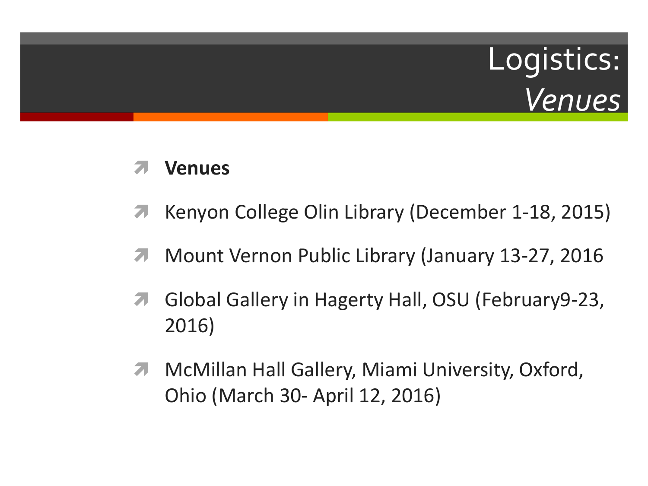### Logistics: *Venues*

#### **Venues**

- **A** Kenyon College Olin Library (December 1-18, 2015)
- **Mount Vernon Public Library (January 13-27, 2016**
- **A** Global Gallery in Hagerty Hall, OSU (February 9-23, 2016)
- **A** McMillan Hall Gallery, Miami University, Oxford, Ohio (March 30- April 12, 2016)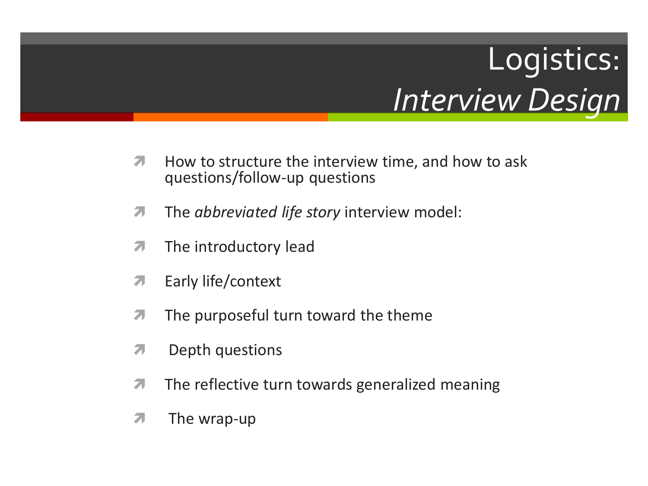### Logistics: *Interview Design*

- $\lambda$  How to structure the interview time, and how to ask questions/follow-up questions
- **The** *abbreviated life story* interview model:
- $\pi$  The introductory lead
- **7** Early life/context
- $\sqrt{7}$  The purposeful turn toward the theme
- $\pi$  Depth questions
- $\pi$  The reflective turn towards generalized meaning
- $\pi$  The wrap-up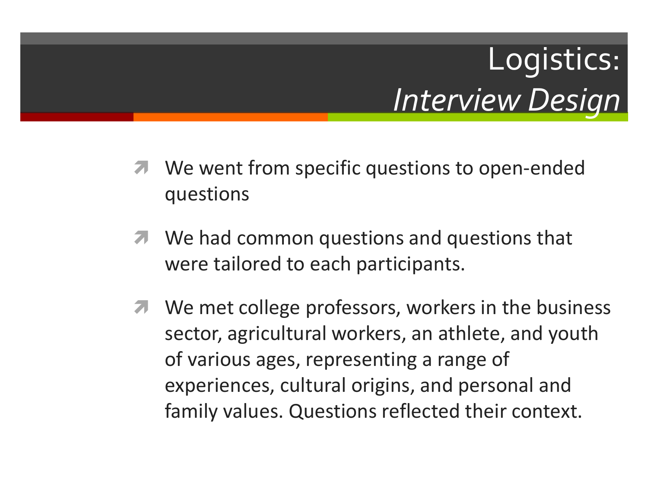### Logistics: *Interview Design*

- We went from specific questions to open-ended questions
- **7** We had common questions and questions that were tailored to each participants.
- **T** We met college professors, workers in the business sector, agricultural workers, an athlete, and youth of various ages, representing a range of experiences, cultural origins, and personal and family values. Questions reflected their context.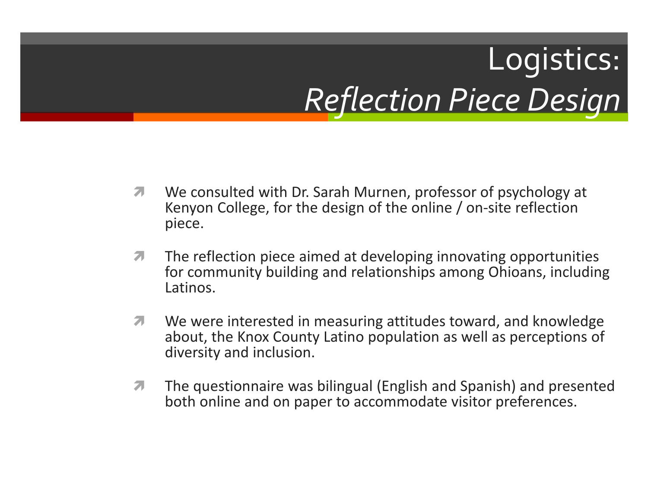## Logistics: *Reflection Piece Design*

- **T** We consulted with Dr. Sarah Murnen, professor of psychology at Kenyon College, for the design of the online / on-site reflection piece.
- $\lambda$  The reflection piece aimed at developing innovating opportunities for community building and relationships among Ohioans, including Latinos.
- **T** We were interested in measuring attitudes toward, and knowledge about, the Knox County Latino population as well as perceptions of diversity and inclusion.
- **The questionnaire was bilingual (English and Spanish) and presented** both online and on paper to accommodate visitor preferences.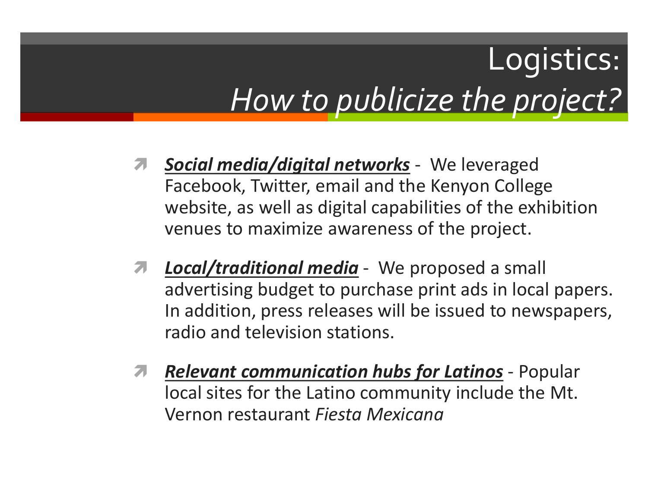### Logistics: *How to publicize the project?*

- *Social media/digital networks* We leveraged Facebook, Twitter, email and the Kenyon College website, as well as digital capabilities of the exhibition venues to maximize awareness of the project.
- *Local/traditional media* We proposed a small advertising budget to purchase print ads in local papers. In addition, press releases will be issued to newspapers, radio and television stations.
- *Relevant communication hubs for Latinos* Popular local sites for the Latino community include the Mt. Vernon restaurant *Fiesta Mexicana*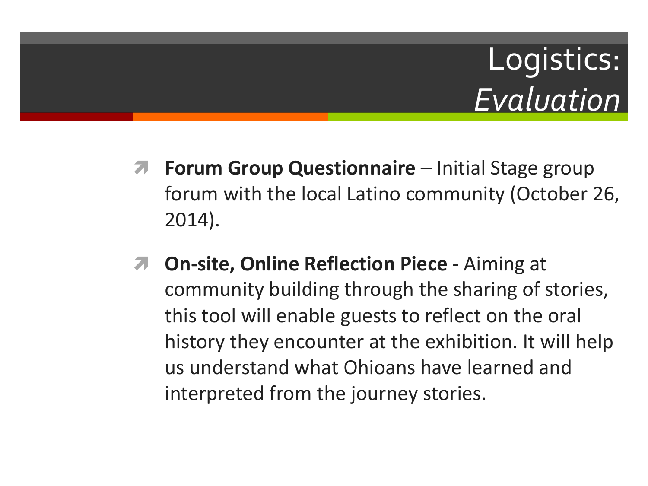### Logistics: *Evaluation*

- **Forum Group Questionnaire** Initial Stage group forum with the local Latino community (October 26, 2014).
- **T** On-site, Online Reflection Piece Aiming at community building through the sharing of stories, this tool will enable guests to reflect on the oral history they encounter at the exhibition. It will help us understand what Ohioans have learned and interpreted from the journey stories.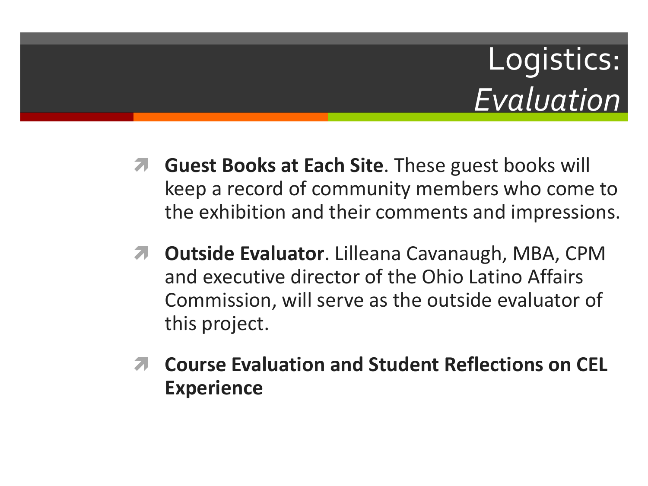### Logistics: *Evaluation*

- **Guest Books at Each Site**. These guest books will keep a record of community members who come to the exhibition and their comments and impressions.
- *A* Outside Evaluator. Lilleana Cavanaugh, MBA, CPM and executive director of the Ohio Latino Affairs Commission, will serve as the outside evaluator of this project.
- **Course Evaluation and Student Reflections on CEL Experience**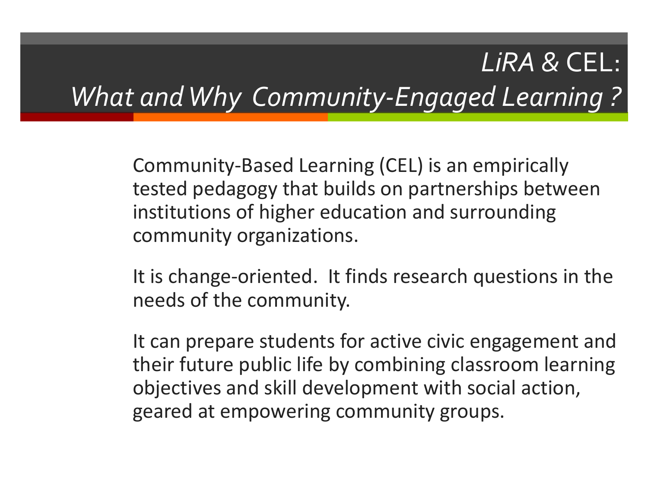#### *LiRA &* CEL: *What and Why Community-Engaged Learning ?*

Community-Based Learning (CEL) is an empirically tested pedagogy that builds on partnerships between institutions of higher education and surrounding community organizations.

It is change-oriented. It finds research questions in the needs of the community.

It can prepare students for active civic engagement and their future public life by combining classroom learning objectives and skill development with social action, geared at empowering community groups.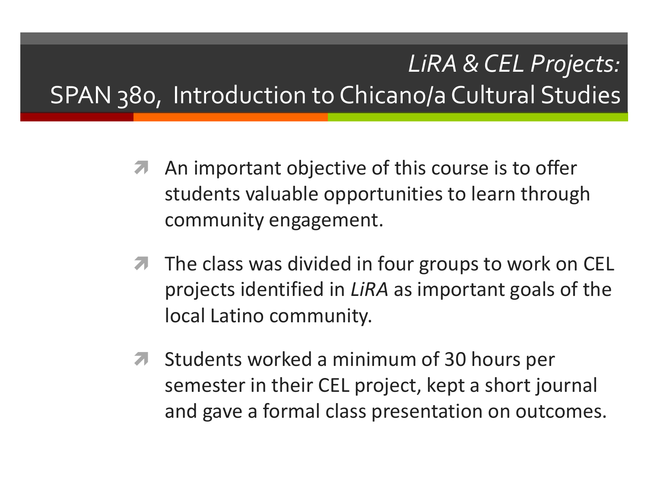#### *LiRA & CEL Projects:* SPAN 380, Introduction to Chicano/a Cultural Studies

- **A** An important objective of this course is to offer students valuable opportunities to learn through community engagement.
- **The class was divided in four groups to work on CEL** projects identified in *LiRA* as important goals of the local Latino community.
- **T** Students worked a minimum of 30 hours per semester in their CEL project, kept a short journal and gave a formal class presentation on outcomes.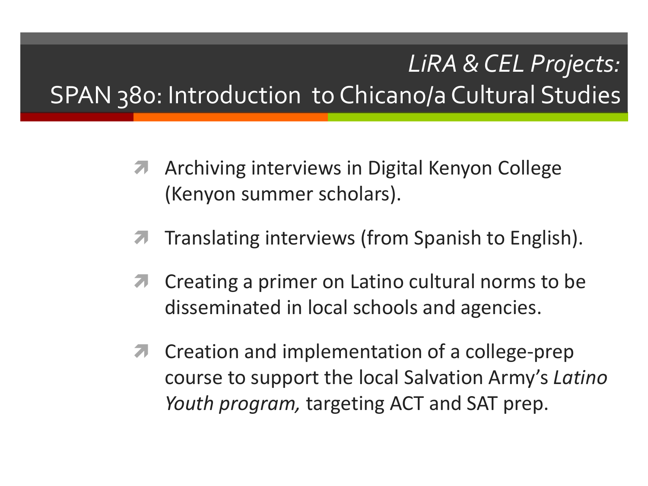#### *LiRA & CEL Projects:* SPAN 380: Introduction to Chicano/a Cultural Studies

- **A** Archiving interviews in Digital Kenyon College (Kenyon summer scholars).
- **The Translating interviews (from Spanish to English).**
- **T** Creating a primer on Latino cultural norms to be disseminated in local schools and agencies.
- **T** Creation and implementation of a college-prep course to support the local Salvation Army's *Latino Youth program,* targeting ACT and SAT prep.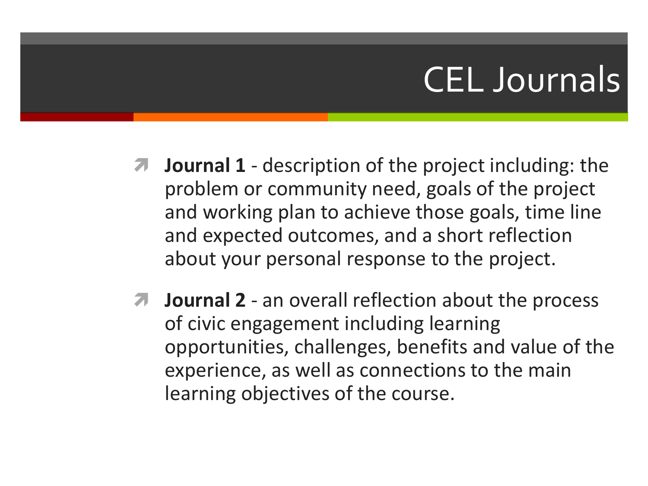#### CEL Journals

- $\blacksquare$  **Journal 1** description of the project including: the problem or community need, goals of the project and working plan to achieve those goals, time line and expected outcomes, and a short reflection about your personal response to the project.
- **Journal 2** an overall reflection about the process of civic engagement including learning opportunities, challenges, benefits and value of the experience, as well as connections to the main learning objectives of the course.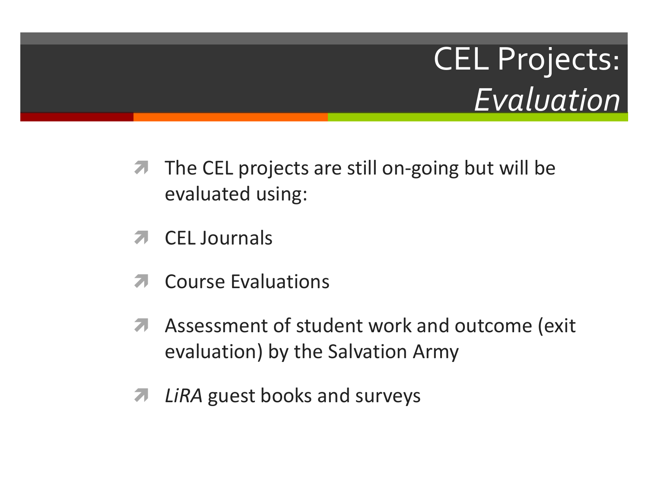### CEL Projects: *Evaluation*

- $\pi$  The CEL projects are still on-going but will be evaluated using:
- CEL Journals
- Course Evaluations
- A Assessment of student work and outcome (exit evaluation) by the Salvation Army
- *A* LiRA guest books and surveys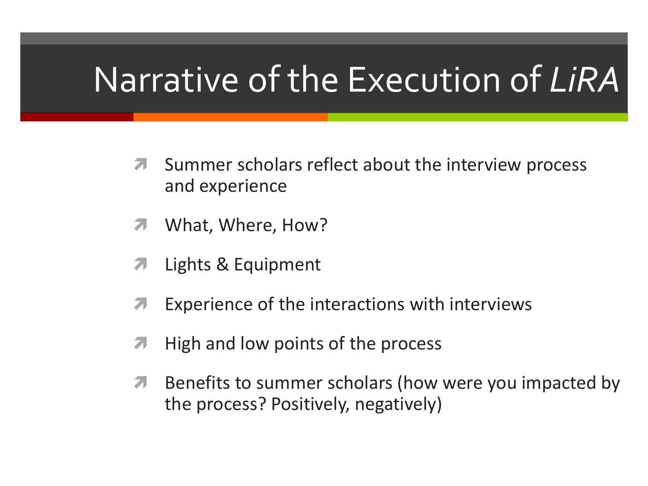### Narrative of the Execution of *LiRA*

- **T** Summer scholars reflect about the interview process and experience
- **7** What, Where, How?
- **7** Lights & Equipment
- **T** Experience of the interactions with interviews
- $\blacksquare$  High and low points of the process
- **A** Benefits to summer scholars (how were you impacted by the process? Positively, negatively)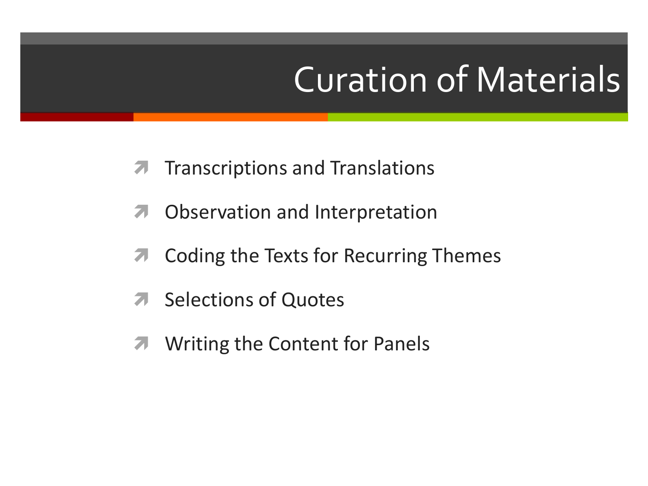## Curation of Materials

- **T** Transcriptions and Translations
- **7** Observation and Interpretation
- **T** Coding the Texts for Recurring Themes
- **A** Selections of Quotes
- **7** Writing the Content for Panels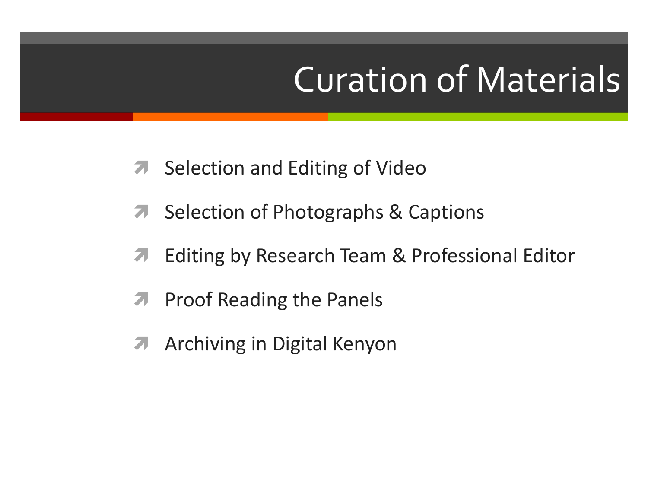## Curation of Materials

- **7** Selection and Editing of Video
- **A** Selection of Photographs & Captions
- **A** Editing by Research Team & Professional Editor
- **A** Proof Reading the Panels
- **A** Archiving in Digital Kenyon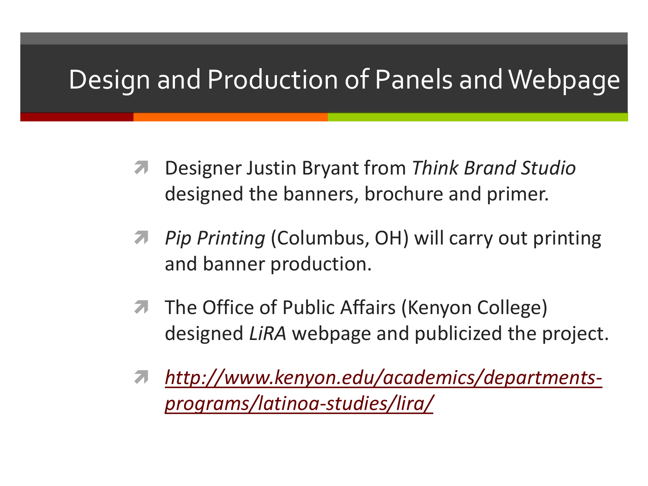#### Design and Production of Panels and Webpage

- Designer Justin Bryant from *Think Brand Studio* designed the banners, brochure and primer.
- *Pip Printing* (Columbus, OH) will carry out printing and banner production.
- **The Office of Public Affairs (Kenyon College)** designed *LiRA* webpage and publicized the project.
- *[http://www.kenyon.edu/academics/departments](http://www.kenyon.edu/academics/departments-programs/latinoa-studies/lira/)programs/latinoa-studies/lira/*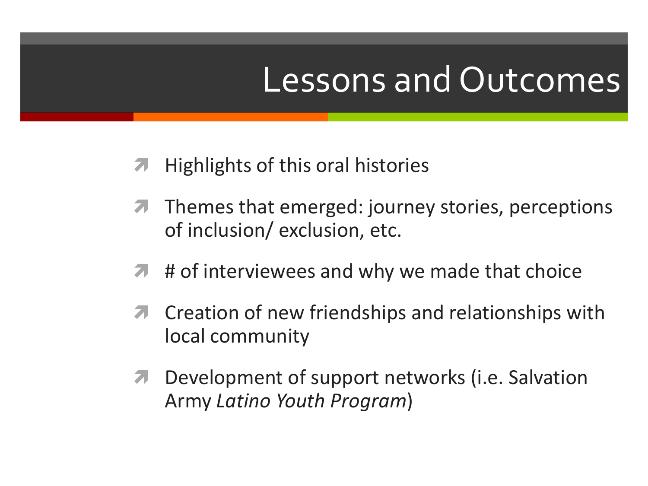#### Lessons and Outcomes

- Highlights of this oral histories
- **T** Themes that emerged: journey stories, perceptions of inclusion/ exclusion, etc.
- $\blacktriangleright$  # of interviewees and why we made that choice
- **T** Creation of new friendships and relationships with local community
- **7** Development of support networks (i.e. Salvation Army *Latino Youth Program*)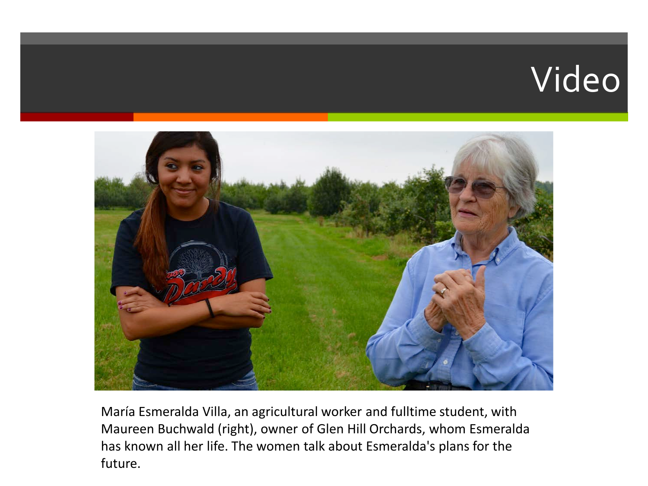### Video



María Esmeralda Villa, an agricultural worker and fulltime student, with Maureen Buchwald (right), owner of Glen Hill Orchards, whom Esmeralda has known all her life. The women talk about Esmeralda's plans for the future.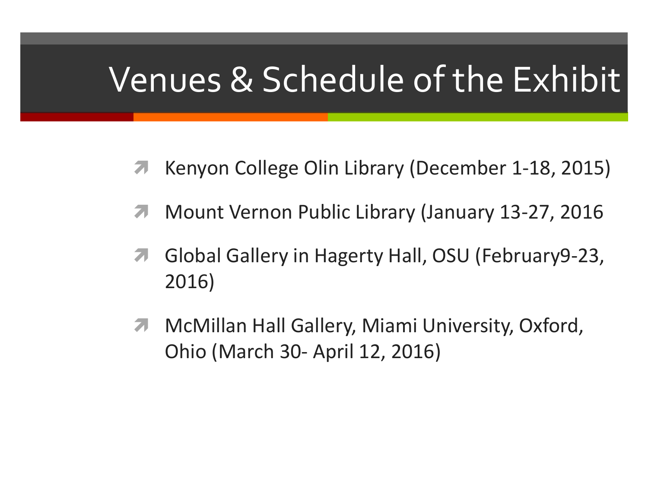#### Venues & Schedule of the Exhibit

- Kenyon College Olin Library (December 1-18, 2015)
- **Mount Vernon Public Library (January 13-27, 2016**
- **A** Global Gallery in Hagerty Hall, OSU (February 9-23, 2016)
- **MCMillan Hall Gallery, Miami University, Oxford,** Ohio (March 30- April 12, 2016)